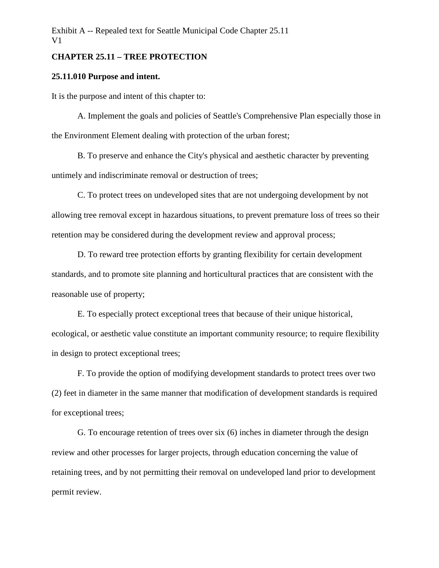# **CHAPTER 25.11 – TREE PROTECTION**

## **25.11.010 Purpose and intent.**

It is the purpose and intent of this chapter to:

A. Implement the goals and policies of Seattle's Comprehensive Plan especially those in the Environment Element dealing with protection of the urban forest;

B. To preserve and enhance the City's physical and aesthetic character by preventing untimely and indiscriminate removal or destruction of trees;

C. To protect trees on undeveloped sites that are not undergoing development by not allowing tree removal except in hazardous situations, to prevent premature loss of trees so their retention may be considered during the development review and approval process;

D. To reward tree protection efforts by granting flexibility for certain development standards, and to promote site planning and horticultural practices that are consistent with the reasonable use of property;

E. To especially protect exceptional trees that because of their unique historical, ecological, or aesthetic value constitute an important community resource; to require flexibility in design to protect exceptional trees;

F. To provide the option of modifying development standards to protect trees over two (2) feet in diameter in the same manner that modification of development standards is required for exceptional trees;

G. To encourage retention of trees over six (6) inches in diameter through the design review and other processes for larger projects, through education concerning the value of retaining trees, and by not permitting their removal on undeveloped land prior to development permit review.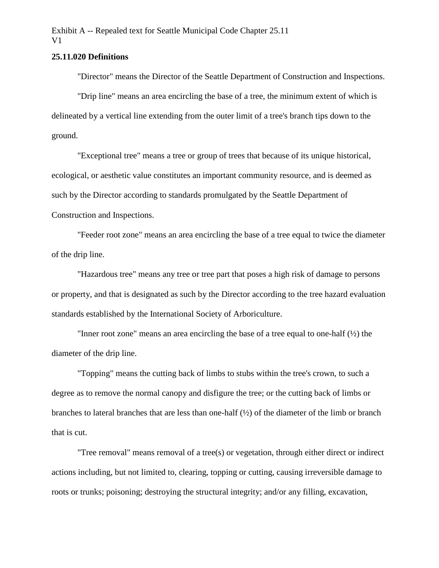# **25.11.020 Definitions**

"Director" means the Director of the Seattle Department of Construction and Inspections.

"Drip line" means an area encircling the base of a tree, the minimum extent of which is delineated by a vertical line extending from the outer limit of a tree's branch tips down to the ground.

"Exceptional tree" means a tree or group of trees that because of its unique historical, ecological, or aesthetic value constitutes an important community resource, and is deemed as such by the Director according to standards promulgated by the Seattle Department of Construction and Inspections.

"Feeder root zone" means an area encircling the base of a tree equal to twice the diameter of the drip line.

"Hazardous tree" means any tree or tree part that poses a high risk of damage to persons or property, and that is designated as such by the Director according to the tree hazard evaluation standards established by the International Society of Arboriculture.

"Inner root zone" means an area encircling the base of a tree equal to one-half (½) the diameter of the drip line.

"Topping" means the cutting back of limbs to stubs within the tree's crown, to such a degree as to remove the normal canopy and disfigure the tree; or the cutting back of limbs or branches to lateral branches that are less than one-half (½) of the diameter of the limb or branch that is cut.

"Tree removal" means removal of a tree(s) or vegetation, through either direct or indirect actions including, but not limited to, clearing, topping or cutting, causing irreversible damage to roots or trunks; poisoning; destroying the structural integrity; and/or any filling, excavation,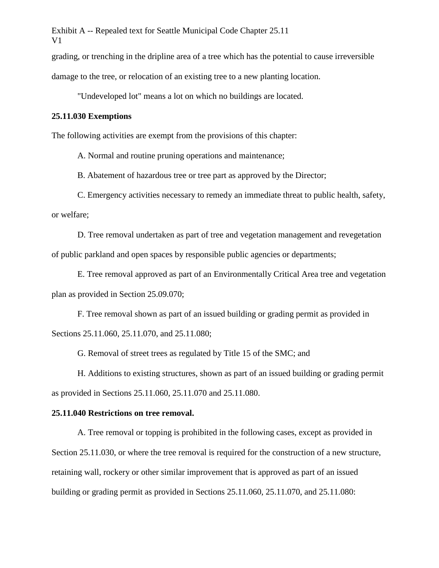grading, or trenching in the dripline area of a tree which has the potential to cause irreversible

damage to the tree, or relocation of an existing tree to a new planting location.

"Undeveloped lot" means a lot on which no buildings are located.

## **25.11.030 Exemptions**

The following activities are exempt from the provisions of this chapter:

A. Normal and routine pruning operations and maintenance;

B. Abatement of hazardous tree or tree part as approved by the Director;

C. Emergency activities necessary to remedy an immediate threat to public health, safety, or welfare;

D. Tree removal undertaken as part of tree and vegetation management and revegetation of public parkland and open spaces by responsible public agencies or departments;

E. Tree removal approved as part of an Environmentally Critical Area tree and vegetation plan as provided in Section 25.09.070;

F. Tree removal shown as part of an issued building or grading permit as provided in Sections 25.11.060, 25.11.070, and 25.11.080;

G. Removal of street trees as regulated by Title 15 of the SMC; and

H. Additions to existing structures, shown as part of an issued building or grading permit as provided in Sections 25.11.060, 25.11.070 and 25.11.080.

### **25.11.040 Restrictions on tree removal.**

A. Tree removal or topping is prohibited in the following cases, except as provided in Section 25.11.030, or where the tree removal is required for the construction of a new structure, retaining wall, rockery or other similar improvement that is approved as part of an issued building or grading permit as provided in Sections 25.11.060, 25.11.070, and 25.11.080: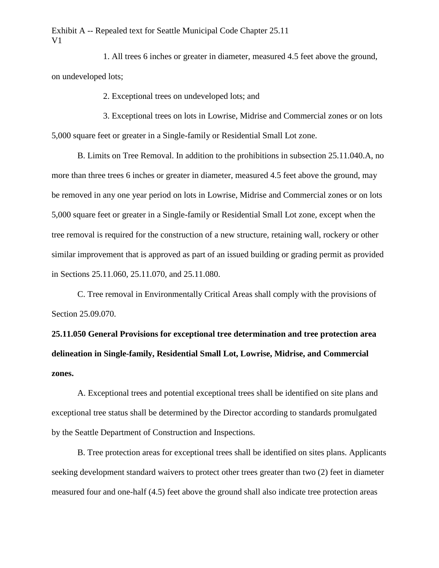1. All trees 6 inches or greater in diameter, measured 4.5 feet above the ground, on undeveloped lots;

2. Exceptional trees on undeveloped lots; and

3. Exceptional trees on lots in Lowrise, Midrise and Commercial zones or on lots 5,000 square feet or greater in a Single-family or Residential Small Lot zone.

B. Limits on Tree Removal. In addition to the prohibitions in subsection 25.11.040.A, no more than three trees 6 inches or greater in diameter, measured 4.5 feet above the ground, may be removed in any one year period on lots in Lowrise, Midrise and Commercial zones or on lots 5,000 square feet or greater in a Single-family or Residential Small Lot zone, except when the tree removal is required for the construction of a new structure, retaining wall, rockery or other similar improvement that is approved as part of an issued building or grading permit as provided in Sections 25.11.060, 25.11.070, and 25.11.080.

C. Tree removal in Environmentally Critical Areas shall comply with the provisions of Section 25.09.070.

**25.11.050 General Provisions for exceptional tree determination and tree protection area delineation in Single-family, Residential Small Lot, Lowrise, Midrise, and Commercial zones.** 

A. Exceptional trees and potential exceptional trees shall be identified on site plans and exceptional tree status shall be determined by the Director according to standards promulgated by the Seattle Department of Construction and Inspections.

B. Tree protection areas for exceptional trees shall be identified on sites plans. Applicants seeking development standard waivers to protect other trees greater than two (2) feet in diameter measured four and one-half (4.5) feet above the ground shall also indicate tree protection areas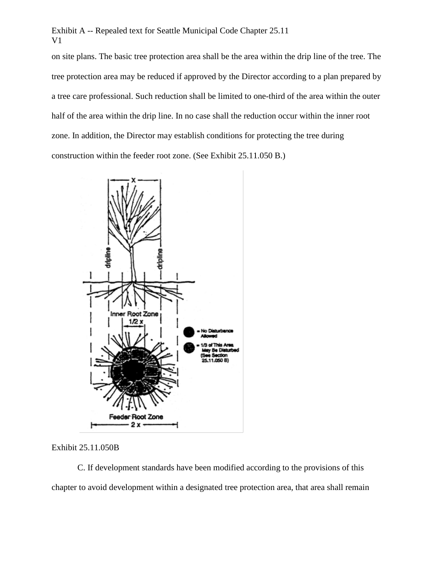on site plans. The basic tree protection area shall be the area within the drip line of the tree. The tree protection area may be reduced if approved by the Director according to a plan prepared by a tree care professional. Such reduction shall be limited to one-third of the area within the outer half of the area within the drip line. In no case shall the reduction occur within the inner root zone. In addition, the Director may establish conditions for protecting the tree during construction within the feeder root zone. (See Exhibit 25.11.050 B.)



Exhibit 25.11.050B

C. If development standards have been modified according to the provisions of this chapter to avoid development within a designated tree protection area, that area shall remain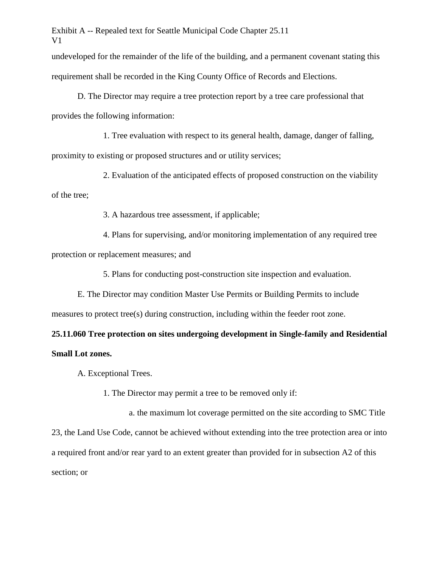undeveloped for the remainder of the life of the building, and a permanent covenant stating this requirement shall be recorded in the King County Office of Records and Elections.

D. The Director may require a tree protection report by a tree care professional that provides the following information:

1. Tree evaluation with respect to its general health, damage, danger of falling, proximity to existing or proposed structures and or utility services;

2. Evaluation of the anticipated effects of proposed construction on the viability of the tree;

3. A hazardous tree assessment, if applicable;

4. Plans for supervising, and/or monitoring implementation of any required tree protection or replacement measures; and

5. Plans for conducting post-construction site inspection and evaluation.

E. The Director may condition Master Use Permits or Building Permits to include measures to protect tree(s) during construction, including within the feeder root zone.

# **25.11.060 Tree protection on sites undergoing development in Single-family and Residential Small Lot zones.**

A. Exceptional Trees.

1. The Director may permit a tree to be removed only if:

a. the maximum lot coverage permitted on the site according to SMC Title 23, the Land Use Code, cannot be achieved without extending into the tree protection area or into a required front and/or rear yard to an extent greater than provided for in subsection A2 of this section; or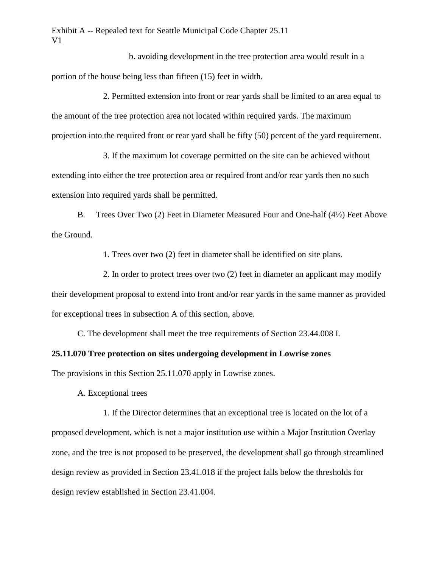b. avoiding development in the tree protection area would result in a portion of the house being less than fifteen (15) feet in width.

2. Permitted extension into front or rear yards shall be limited to an area equal to the amount of the tree protection area not located within required yards. The maximum projection into the required front or rear yard shall be fifty (50) percent of the yard requirement.

3. If the maximum lot coverage permitted on the site can be achieved without extending into either the tree protection area or required front and/or rear yards then no such extension into required yards shall be permitted.

B. Trees Over Two (2) Feet in Diameter Measured Four and One-half (4½) Feet Above the Ground.

1. Trees over two (2) feet in diameter shall be identified on site plans.

2. In order to protect trees over two (2) feet in diameter an applicant may modify their development proposal to extend into front and/or rear yards in the same manner as provided for exceptional trees in subsection A of this section, above.

C. The development shall meet the tree requirements of Section 23.44.008 I.

# **25.11.070 Tree protection on sites undergoing development in Lowrise zones**

The provisions in this Section 25.11.070 apply in Lowrise zones.

A. Exceptional trees

1. If the Director determines that an exceptional tree is located on the lot of a proposed development, which is not a major institution use within a Major Institution Overlay zone, and the tree is not proposed to be preserved, the development shall go through streamlined design review as provided in Section 23.41.018 if the project falls below the thresholds for design review established in Section 23.41.004.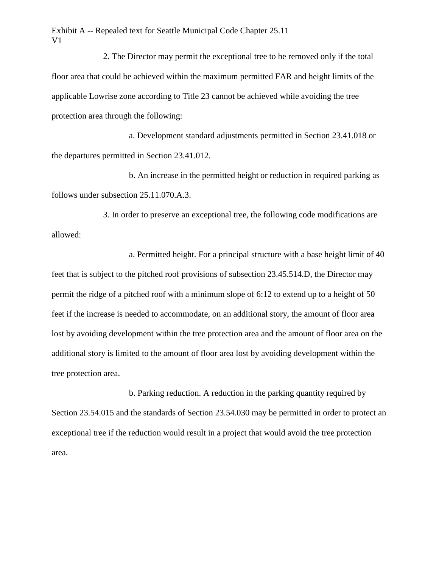2. The Director may permit the exceptional tree to be removed only if the total floor area that could be achieved within the maximum permitted FAR and height limits of the applicable Lowrise zone according to Title 23 cannot be achieved while avoiding the tree protection area through the following:

a. Development standard adjustments permitted in Section 23.41.018 or the departures permitted in Section 23.41.012.

b. An increase in the permitted height or reduction in required parking as follows under subsection 25.11.070.A.3.

3. In order to preserve an exceptional tree, the following code modifications are allowed:

a. Permitted height. For a principal structure with a base height limit of 40 feet that is subject to the pitched roof provisions of subsection 23.45.514.D, the Director may permit the ridge of a pitched roof with a minimum slope of 6:12 to extend up to a height of 50 feet if the increase is needed to accommodate, on an additional story, the amount of floor area lost by avoiding development within the tree protection area and the amount of floor area on the additional story is limited to the amount of floor area lost by avoiding development within the tree protection area.

b. Parking reduction. A reduction in the parking quantity required by Section 23.54.015 and the standards of Section 23.54.030 may be permitted in order to protect an exceptional tree if the reduction would result in a project that would avoid the tree protection area.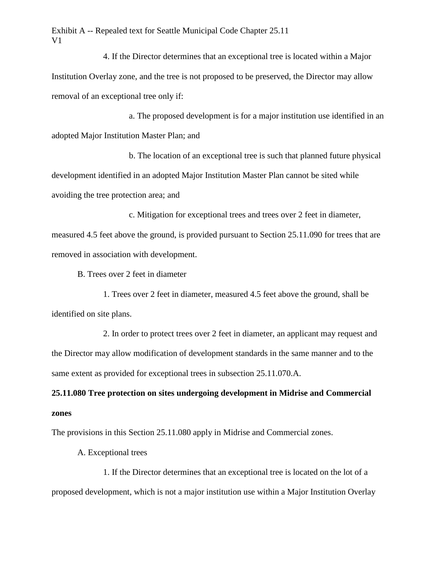4. If the Director determines that an exceptional tree is located within a Major Institution Overlay zone, and the tree is not proposed to be preserved, the Director may allow removal of an exceptional tree only if:

a. The proposed development is for a major institution use identified in an adopted Major Institution Master Plan; and

b. The location of an exceptional tree is such that planned future physical development identified in an adopted Major Institution Master Plan cannot be sited while avoiding the tree protection area; and

c. Mitigation for exceptional trees and trees over 2 feet in diameter, measured 4.5 feet above the ground, is provided pursuant to Section 25.11.090 for trees that are removed in association with development.

B. Trees over 2 feet in diameter

1. Trees over 2 feet in diameter, measured 4.5 feet above the ground, shall be identified on site plans.

2. In order to protect trees over 2 feet in diameter, an applicant may request and the Director may allow modification of development standards in the same manner and to the same extent as provided for exceptional trees in subsection 25.11.070.A.

**25.11.080 Tree protection on sites undergoing development in Midrise and Commercial zones**

The provisions in this Section 25.11.080 apply in Midrise and Commercial zones.

A. Exceptional trees

1. If the Director determines that an exceptional tree is located on the lot of a proposed development, which is not a major institution use within a Major Institution Overlay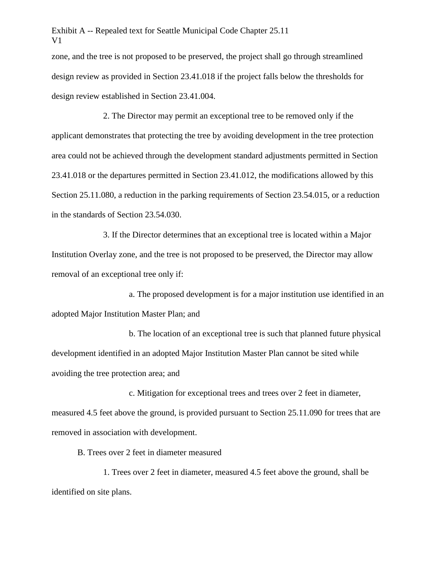zone, and the tree is not proposed to be preserved, the project shall go through streamlined design review as provided in Section 23.41.018 if the project falls below the thresholds for design review established in Section 23.41.004.

2. The Director may permit an exceptional tree to be removed only if the applicant demonstrates that protecting the tree by avoiding development in the tree protection area could not be achieved through the development standard adjustments permitted in Section 23.41.018 or the departures permitted in Section 23.41.012, the modifications allowed by this Section 25.11.080, a reduction in the parking requirements of Section 23.54.015, or a reduction in the standards of Section 23.54.030.

3. If the Director determines that an exceptional tree is located within a Major Institution Overlay zone, and the tree is not proposed to be preserved, the Director may allow removal of an exceptional tree only if:

a. The proposed development is for a major institution use identified in an adopted Major Institution Master Plan; and

b. The location of an exceptional tree is such that planned future physical development identified in an adopted Major Institution Master Plan cannot be sited while avoiding the tree protection area; and

c. Mitigation for exceptional trees and trees over 2 feet in diameter, measured 4.5 feet above the ground, is provided pursuant to Section 25.11.090 for trees that are removed in association with development.

B. Trees over 2 feet in diameter measured

1. Trees over 2 feet in diameter, measured 4.5 feet above the ground, shall be identified on site plans.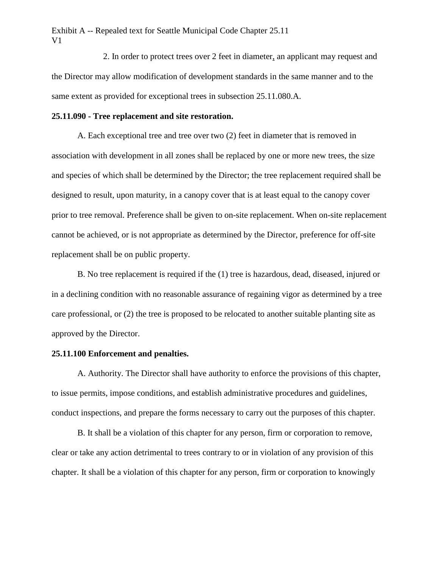2. In order to protect trees over 2 feet in diameter, an applicant may request and the Director may allow modification of development standards in the same manner and to the same extent as provided for exceptional trees in subsection 25.11.080.A.

## **25.11.090 - Tree replacement and site restoration.**

A. Each exceptional tree and tree over two (2) feet in diameter that is removed in association with development in all zones shall be replaced by one or more new trees, the size and species of which shall be determined by the Director; the tree replacement required shall be designed to result, upon maturity, in a canopy cover that is at least equal to the canopy cover prior to tree removal. Preference shall be given to on-site replacement. When on-site replacement cannot be achieved, or is not appropriate as determined by the Director, preference for off-site replacement shall be on public property.

B. No tree replacement is required if the (1) tree is hazardous, dead, diseased, injured or in a declining condition with no reasonable assurance of regaining vigor as determined by a tree care professional, or (2) the tree is proposed to be relocated to another suitable planting site as approved by the Director.

#### **25.11.100 Enforcement and penalties.**

A. Authority. The Director shall have authority to enforce the provisions of this chapter, to issue permits, impose conditions, and establish administrative procedures and guidelines, conduct inspections, and prepare the forms necessary to carry out the purposes of this chapter.

B. It shall be a violation of this chapter for any person, firm or corporation to remove, clear or take any action detrimental to trees contrary to or in violation of any provision of this chapter. It shall be a violation of this chapter for any person, firm or corporation to knowingly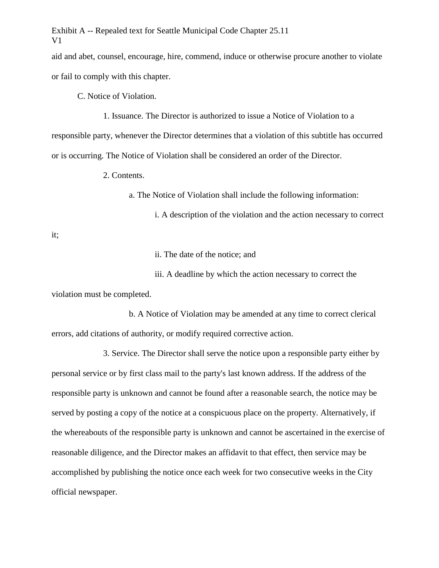aid and abet, counsel, encourage, hire, commend, induce or otherwise procure another to violate or fail to comply with this chapter.

C. Notice of Violation.

1. Issuance. The Director is authorized to issue a Notice of Violation to a responsible party, whenever the Director determines that a violation of this subtitle has occurred or is occurring. The Notice of Violation shall be considered an order of the Director.

2. Contents.

a. The Notice of Violation shall include the following information:

i. A description of the violation and the action necessary to correct

it;

ii. The date of the notice; and

iii. A deadline by which the action necessary to correct the

violation must be completed.

b. A Notice of Violation may be amended at any time to correct clerical errors, add citations of authority, or modify required corrective action.

3. Service. The Director shall serve the notice upon a responsible party either by personal service or by first class mail to the party's last known address. If the address of the responsible party is unknown and cannot be found after a reasonable search, the notice may be served by posting a copy of the notice at a conspicuous place on the property. Alternatively, if the whereabouts of the responsible party is unknown and cannot be ascertained in the exercise of reasonable diligence, and the Director makes an affidavit to that effect, then service may be accomplished by publishing the notice once each week for two consecutive weeks in the City official newspaper.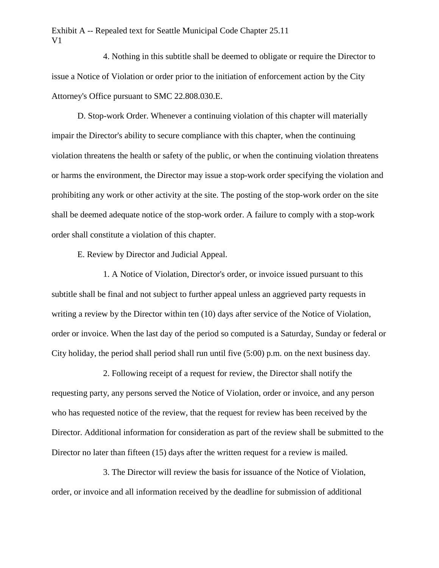4. Nothing in this subtitle shall be deemed to obligate or require the Director to issue a Notice of Violation or order prior to the initiation of enforcement action by the City Attorney's Office pursuant to SMC 22.808.030.E.

D. Stop-work Order. Whenever a continuing violation of this chapter will materially impair the Director's ability to secure compliance with this chapter, when the continuing violation threatens the health or safety of the public, or when the continuing violation threatens or harms the environment, the Director may issue a stop-work order specifying the violation and prohibiting any work or other activity at the site. The posting of the stop-work order on the site shall be deemed adequate notice of the stop-work order. A failure to comply with a stop-work order shall constitute a violation of this chapter.

E. Review by Director and Judicial Appeal.

1. A Notice of Violation, Director's order, or invoice issued pursuant to this subtitle shall be final and not subject to further appeal unless an aggrieved party requests in writing a review by the Director within ten (10) days after service of the Notice of Violation, order or invoice. When the last day of the period so computed is a Saturday, Sunday or federal or City holiday, the period shall period shall run until five (5:00) p.m. on the next business day.

2. Following receipt of a request for review, the Director shall notify the requesting party, any persons served the Notice of Violation, order or invoice, and any person who has requested notice of the review, that the request for review has been received by the Director. Additional information for consideration as part of the review shall be submitted to the Director no later than fifteen (15) days after the written request for a review is mailed.

3. The Director will review the basis for issuance of the Notice of Violation, order, or invoice and all information received by the deadline for submission of additional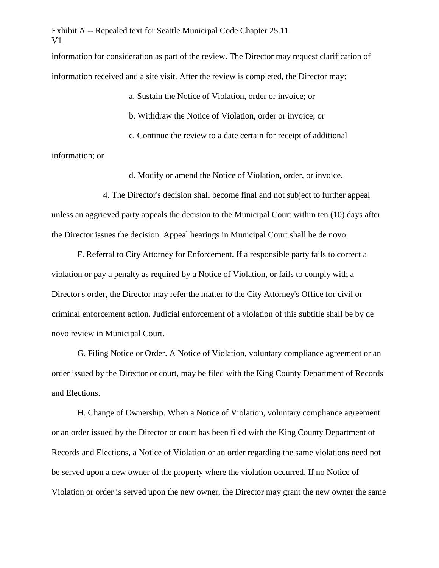information for consideration as part of the review. The Director may request clarification of information received and a site visit. After the review is completed, the Director may:

> a. Sustain the Notice of Violation, order or invoice; or b. Withdraw the Notice of Violation, order or invoice; or c. Continue the review to a date certain for receipt of additional

information; or

d. Modify or amend the Notice of Violation, order, or invoice.

4. The Director's decision shall become final and not subject to further appeal unless an aggrieved party appeals the decision to the Municipal Court within ten (10) days after the Director issues the decision. Appeal hearings in Municipal Court shall be de novo.

F. Referral to City Attorney for Enforcement. If a responsible party fails to correct a violation or pay a penalty as required by a Notice of Violation, or fails to comply with a Director's order, the Director may refer the matter to the City Attorney's Office for civil or criminal enforcement action. Judicial enforcement of a violation of this subtitle shall be by de novo review in Municipal Court.

G. Filing Notice or Order. A Notice of Violation, voluntary compliance agreement or an order issued by the Director or court, may be filed with the King County Department of Records and Elections.

H. Change of Ownership. When a Notice of Violation, voluntary compliance agreement or an order issued by the Director or court has been filed with the King County Department of Records and Elections, a Notice of Violation or an order regarding the same violations need not be served upon a new owner of the property where the violation occurred. If no Notice of Violation or order is served upon the new owner, the Director may grant the new owner the same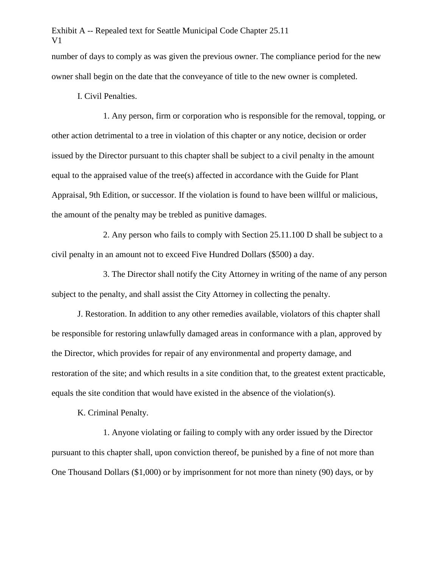number of days to comply as was given the previous owner. The compliance period for the new owner shall begin on the date that the conveyance of title to the new owner is completed.

I. Civil Penalties.

1. Any person, firm or corporation who is responsible for the removal, topping, or other action detrimental to a tree in violation of this chapter or any notice, decision or order issued by the Director pursuant to this chapter shall be subject to a civil penalty in the amount equal to the appraised value of the tree(s) affected in accordance with the Guide for Plant Appraisal, 9th Edition, or successor. If the violation is found to have been willful or malicious, the amount of the penalty may be trebled as punitive damages.

2. Any person who fails to comply with Section 25.11.100 D shall be subject to a civil penalty in an amount not to exceed Five Hundred Dollars (\$500) a day.

3. The Director shall notify the City Attorney in writing of the name of any person subject to the penalty, and shall assist the City Attorney in collecting the penalty.

J. Restoration. In addition to any other remedies available, violators of this chapter shall be responsible for restoring unlawfully damaged areas in conformance with a plan, approved by the Director, which provides for repair of any environmental and property damage, and restoration of the site; and which results in a site condition that, to the greatest extent practicable, equals the site condition that would have existed in the absence of the violation(s).

K. Criminal Penalty.

1. Anyone violating or failing to comply with any order issued by the Director pursuant to this chapter shall, upon conviction thereof, be punished by a fine of not more than One Thousand Dollars (\$1,000) or by imprisonment for not more than ninety (90) days, or by